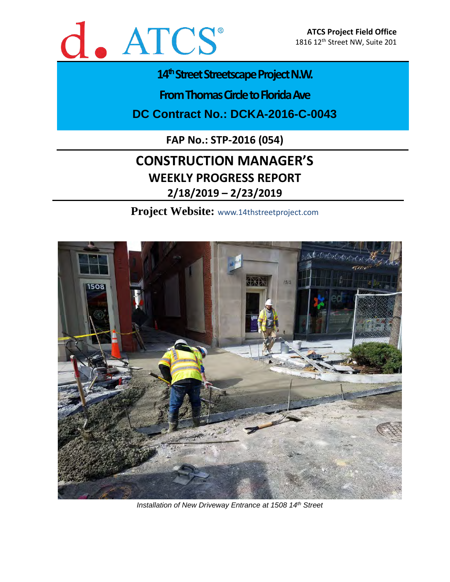

# 14<sup>th</sup> Street Streetscape Project N.W.

**From Thomas Circle to Florida Ave** 

**DC Contract No.: DCKA-2016-C-0043**

**FAP No.: STP-2016 (054)**

# **CONSTRUCTION MANAGER'S WEEKLY PROGRESS REPORT 2/18/2019 – 2/23/2019**

**Project Website:** www.14thstreetproject.com



*Installation of New Driveway Entrance at 1508 14th Street*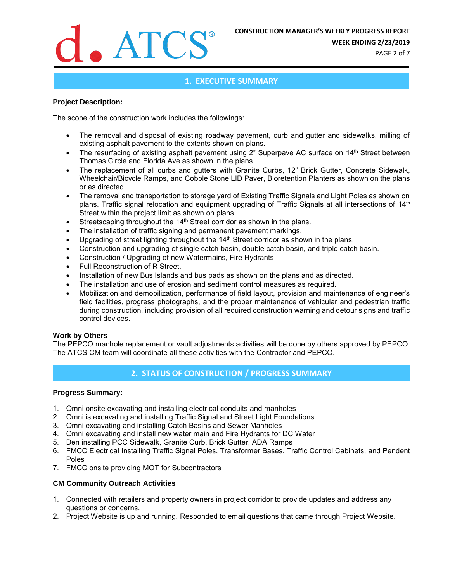

**WEEK ENDING 2/23/2019**

PAGE 2 of 7

### **1. EXECUTIVE SUMMARY**

#### **Project Description:**

The scope of the construction work includes the followings:

- The removal and disposal of existing roadway pavement, curb and gutter and sidewalks, milling of existing asphalt pavement to the extents shown on plans.
- The resurfacing of existing asphalt pavement using 2" Superpave AC surface on 14<sup>th</sup> Street between Thomas Circle and Florida Ave as shown in the plans.
- The replacement of all curbs and gutters with Granite Curbs, 12" Brick Gutter, Concrete Sidewalk, Wheelchair/Bicycle Ramps, and Cobble Stone LID Paver, Bioretention Planters as shown on the plans or as directed.
- The removal and transportation to storage yard of Existing Traffic Signals and Light Poles as shown on plans. Traffic signal relocation and equipment upgrading of Traffic Signals at all intersections of 14<sup>th</sup> Street within the project limit as shown on plans.
- Streetscaping throughout the 14<sup>th</sup> Street corridor as shown in the plans.
- The installation of traffic signing and permanent pavement markings.
- Upgrading of street lighting throughout the 14<sup>th</sup> Street corridor as shown in the plans.
- Construction and upgrading of single catch basin, double catch basin, and triple catch basin.
- Construction / Upgrading of new Watermains, Fire Hydrants
- Full Reconstruction of R Street.
- Installation of new Bus Islands and bus pads as shown on the plans and as directed.
- The installation and use of erosion and sediment control measures as required.
- Mobilization and demobilization, performance of field layout, provision and maintenance of engineer's field facilities, progress photographs, and the proper maintenance of vehicular and pedestrian traffic during construction, including provision of all required construction warning and detour signs and traffic control devices.

#### **Work by Others**

The PEPCO manhole replacement or vault adjustments activities will be done by others approved by PEPCO. The ATCS CM team will coordinate all these activities with the Contractor and PEPCO.

## **2. STATUS OF CONSTRUCTION / PROGRESS SUMMARY**

#### **Progress Summary:**

- 1. Omni onsite excavating and installing electrical conduits and manholes
- 2. Omni is excavating and installing Traffic Signal and Street Light Foundations
- 3. Omni excavating and installing Catch Basins and Sewer Manholes
- 4. Omni excavating and install new water main and Fire Hydrants for DC Water
- 5. Den installing PCC Sidewalk, Granite Curb, Brick Gutter, ADA Ramps
- 6. FMCC Electrical Installing Traffic Signal Poles, Transformer Bases, Traffic Control Cabinets, and Pendent Poles
- 7. FMCC onsite providing MOT for Subcontractors

#### **CM Community Outreach Activities**

- 1. Connected with retailers and property owners in project corridor to provide updates and address any questions or concerns.
- 2. Project Website is up and running. Responded to email questions that came through Project Website.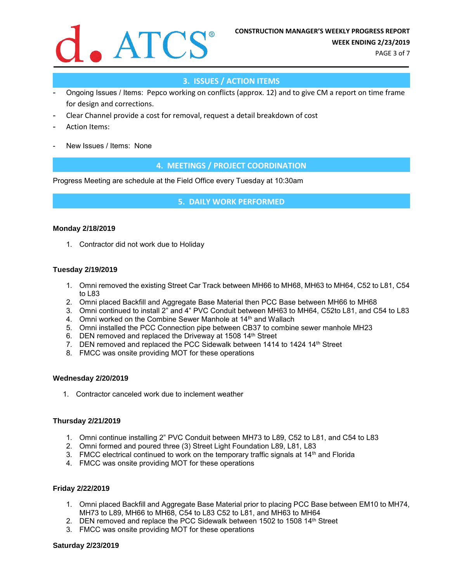

PAGE 3 of 7

# **3. ISSUES / ACTION ITEMS**

- Ongoing Issues / Items: Pepco working on conflicts (approx. 12) and to give CM a report on time frame for design and corrections.
- Clear Channel provide a cost for removal, request a detail breakdown of cost
- Action Items:
- New Issues / Items: None

### **4. MEETINGS / PROJECT COORDINATION**

Progress Meeting are schedule at the Field Office every Tuesday at 10:30am

**5. DAILY WORK PERFORMED**

#### **Monday 2/18/2019**

1. Contractor did not work due to Holiday

#### **Tuesday 2/19/2019**

- 1. Omni removed the existing Street Car Track between MH66 to MH68, MH63 to MH64, C52 to L81, C54 to L83
- 2. Omni placed Backfill and Aggregate Base Material then PCC Base between MH66 to MH68
- 3. Omni continued to install 2" and 4" PVC Conduit between MH63 to MH64, C52to L81, and C54 to L83
- 4. Omni worked on the Combine Sewer Manhole at 14<sup>th</sup> and Wallach
- 5. Omni installed the PCC Connection pipe between CB37 to combine sewer manhole MH23
- 6. DEN removed and replaced the Driveway at 1508 14th Street
- 7. DEN removed and replaced the PCC Sidewalk between 1414 to 1424 14<sup>th</sup> Street
- 8. FMCC was onsite providing MOT for these operations

#### **Wednesday 2/20/2019**

1. Contractor canceled work due to inclement weather

#### **Thursday 2/21/2019**

- 1. Omni continue installing 2" PVC Conduit between MH73 to L89, C52 to L81, and C54 to L83
- 2. Omni formed and poured three (3) Street Light Foundation L89, L81, L83
- 3. FMCC electrical continued to work on the temporary traffic signals at  $14<sup>th</sup>$  and Florida
- 4. FMCC was onsite providing MOT for these operations

#### **Friday 2/22/2019**

- 1. Omni placed Backfill and Aggregate Base Material prior to placing PCC Base between EM10 to MH74, MH73 to L89, MH66 to MH68, C54 to L83 C52 to L81, and MH63 to MH64
- 2. DEN removed and replace the PCC Sidewalk between 1502 to 1508 14<sup>th</sup> Street
- 3. FMCC was onsite providing MOT for these operations

#### **Saturday 2/23/2019**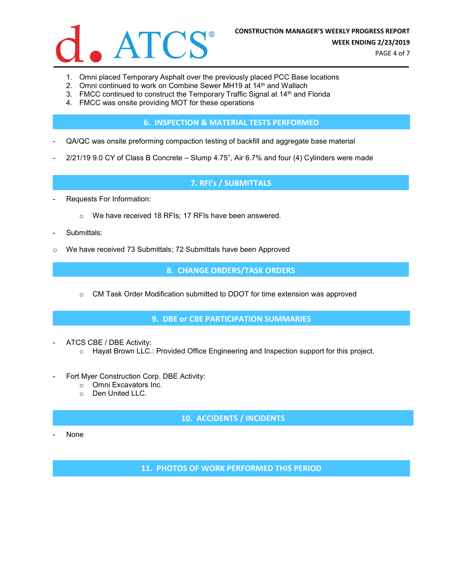

- 1. Omni placed Temporary Asphalt over the previously placed PCC Base locations
- 2. Omni continued to work on Combine Sewer MH19 at 14<sup>th</sup> and Wallach
- 3. FMCC continued to construct the Temporary Traffic Signal at 14<sup>th</sup> and Florida
- 4. FMCC was onsite providing MOT for these operations

**6. INSPECTION & MATERIAL TESTS PERFORMED**

- QA/QC was onsite preforming compaction testing of backfill and aggregate base material
- 2/21/19 9.0 CY of Class B Concrete Slump 4.75", Air 6.7% and four (4) Cylinders were made

## **7. RFI's / SUBMITTALS**

- Requests For Information:
	- o We have received 18 RFIs; 17 RFIs have been answered.
- Submittals:
- o We have received 73 Submittals; 72 Submittals have been Approved

**8. CHANGE ORDERS/TASK ORDERS**

o CM Task Order Modification submitted to DDOT for time extension was approved

#### **9. DBE or CBE PARTICIPATION SUMMARIES**

- ATCS CBE / DBE Activity:
	- o Hayat Brown LLC.: Provided Office Engineering and Inspection support for this project.
- Fort Myer Construction Corp. DBE Activity:
	- o Omni Excavators Inc.
	- o Den United LLC.

# **10. ACCIDENTS / INCIDENTS**

None

**11. PHOTOS OF WORK PERFORMED THIS PERIOD**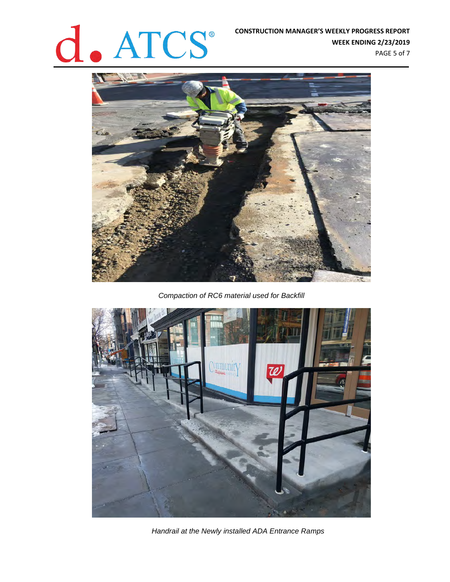# **CONSTRUCTION MANAGER'S WEEKLY PROGRESS REPORT**<br>WEEK ENDING 2/23/2019

**WEEK ENDING 2/23/2019** PAGE 5 of 7



*Compaction of RC6 material used for Backfill*



*Handrail at the Newly installed ADA Entrance Ramps*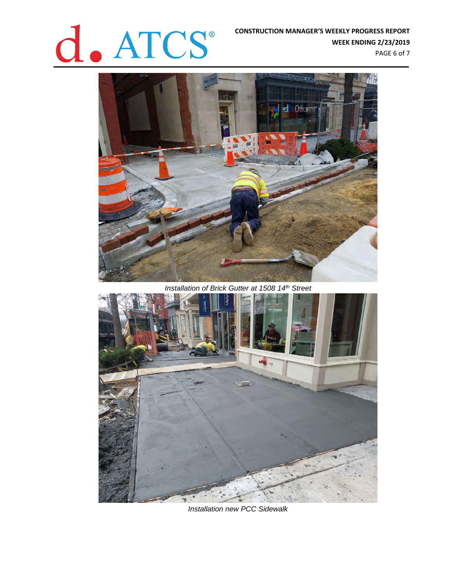

**WEEK ENDING 2/23/2019** PAGE 6 of 7



*Installation of Brick Gutter at 1508 14th Street*



*Installation new PCC Sidewalk*